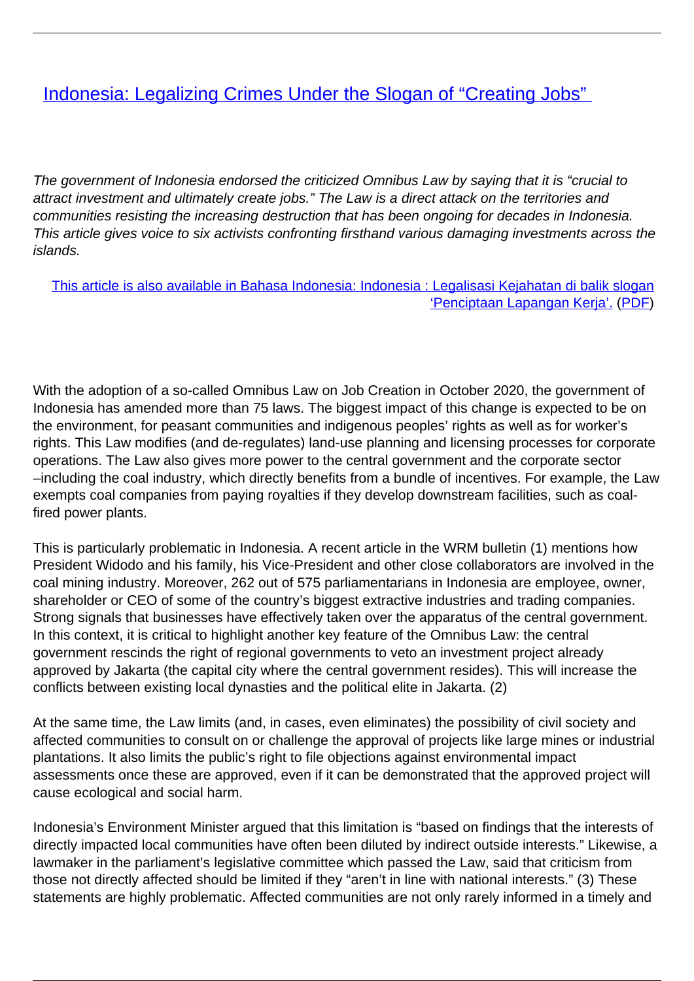# **[Indonesia: Legalizing Crimes Under the Slogan of "Creating Jobs"](/bulletin-articles/indonesia-legalizing-crimes-under-the-slogan-of-creating-jobs)**

The government of Indonesia endorsed the criticized Omnibus Law by saying that it is "crucial to attract investment and ultimately create jobs." The Law is a direct attack on the territories and communities resisting the increasing destruction that has been ongoing for decades in Indonesia. This article gives voice to six activists confronting firsthand various damaging investments across the islands.

[This article is also available in Bahasa Indonesia: Indonesia : Legalisasi Kejahatan di balik slogan](https://wrm.org.uy/articles-from-the-wrm-bulletin/section1/bahasa-indonesia-indonesia-legalisasi-kejahatan-di-balik-slogan-penciptaan-lapangan-kerja/) ['Penciptaan Lapangan Kerja'.](https://wrm.org.uy/articles-from-the-wrm-bulletin/section1/bahasa-indonesia-indonesia-legalisasi-kejahatan-di-balik-slogan-penciptaan-lapangan-kerja/) [\(PDF](https://wrm.org.uy/wp-content/uploads/2021/04/B-253-Indonesia_Bahasa.pdf))

With the adoption of a so-called Omnibus Law on Job Creation in October 2020, the government of Indonesia has amended more than 75 laws. The biggest impact of this change is expected to be on the environment, for peasant communities and indigenous peoples' rights as well as for worker's rights. This Law modifies (and de-regulates) land-use planning and licensing processes for corporate operations. The Law also gives more power to the central government and the corporate sector –including the coal industry, which directly benefits from a bundle of incentives. For example, the Law exempts coal companies from paying royalties if they develop downstream facilities, such as coalfired power plants.

This is particularly problematic in Indonesia. A recent article in the WRM bulletin (1) mentions how President Widodo and his family, his Vice-President and other close collaborators are involved in the coal mining industry. Moreover, 262 out of 575 parliamentarians in Indonesia are employee, owner, shareholder or CEO of some of the country's biggest extractive industries and trading companies. Strong signals that businesses have effectively taken over the apparatus of the central government. In this context, it is critical to highlight another key feature of the Omnibus Law: the central government rescinds the right of regional governments to veto an investment project already approved by Jakarta (the capital city where the central government resides). This will increase the conflicts between existing local dynasties and the political elite in Jakarta. (2)

At the same time, the Law limits (and, in cases, even eliminates) the possibility of civil society and affected communities to consult on or challenge the approval of projects like large mines or industrial plantations. It also limits the public's right to file objections against environmental impact assessments once these are approved, even if it can be demonstrated that the approved project will cause ecological and social harm.

Indonesia's Environment Minister argued that this limitation is "based on findings that the interests of directly impacted local communities have often been diluted by indirect outside interests." Likewise, a lawmaker in the parliament's legislative committee which passed the Law, said that criticism from those not directly affected should be limited if they "aren't in line with national interests." (3) These statements are highly problematic. Affected communities are not only rarely informed in a timely and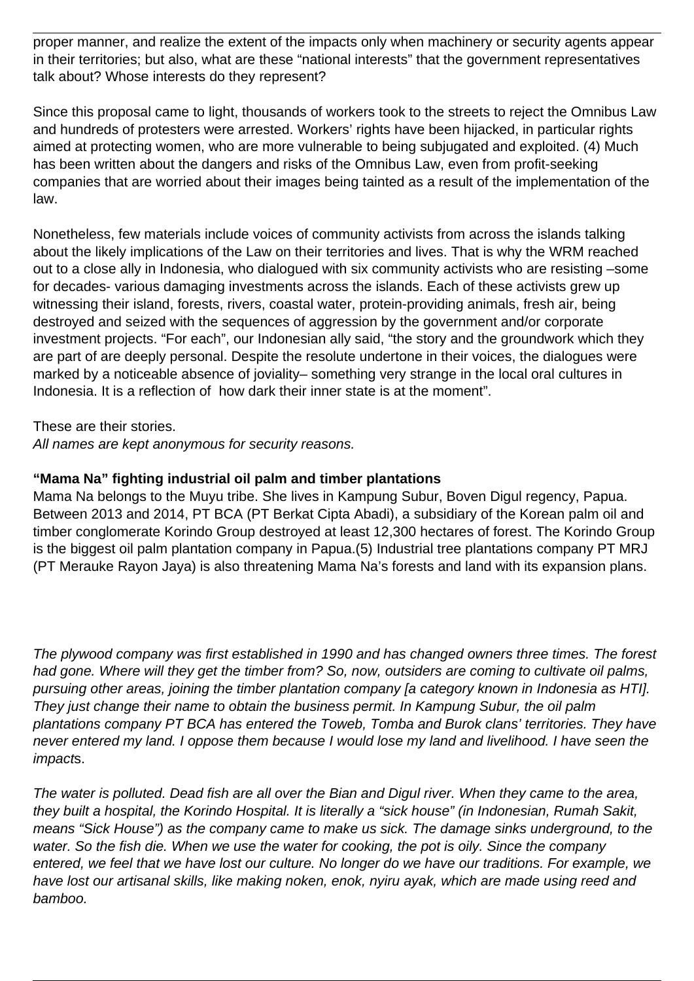proper manner, and realize the extent of the impacts only when machinery or security agents appear in their territories; but also, what are these "national interests" that the government representatives talk about? Whose interests do they represent?

Since this proposal came to light, thousands of workers took to the streets to reject the Omnibus Law and hundreds of protesters were arrested. Workers' rights have been hijacked, in particular rights aimed at protecting women, who are more vulnerable to being subjugated and exploited. (4) Much has been written about the dangers and risks of the Omnibus Law, even from profit-seeking companies that are worried about their images being tainted as a result of the implementation of the law.

Nonetheless, few materials include voices of community activists from across the islands talking about the likely implications of the Law on their territories and lives. That is why the WRM reached out to a close ally in Indonesia, who dialogued with six community activists who are resisting –some for decades- various damaging investments across the islands. Each of these activists grew up witnessing their island, forests, rivers, coastal water, protein-providing animals, fresh air, being destroyed and seized with the sequences of aggression by the government and/or corporate investment projects. "For each", our Indonesian ally said, "the story and the groundwork which they are part of are deeply personal. Despite the resolute undertone in their voices, the dialogues were marked by a noticeable absence of joviality– something very strange in the local oral cultures in Indonesia. It is a reflection of how dark their inner state is at the moment".

These are their stories.

All names are kept anonymous for security reasons.

#### **"Mama Na" fighting industrial oil palm and timber plantations**

Mama Na belongs to the Muyu tribe. She lives in Kampung Subur, Boven Digul regency, Papua. Between 2013 and 2014, PT BCA (PT Berkat Cipta Abadi), a subsidiary of the Korean palm oil and timber conglomerate Korindo Group destroyed at least 12,300 hectares of forest. The Korindo Group is the biggest oil palm plantation company in Papua.(5) Industrial tree plantations company PT MRJ (PT Merauke Rayon Jaya) is also threatening Mama Na's forests and land with its expansion plans.

The plywood company was first established in 1990 and has changed owners three times. The forest had gone. Where will they get the timber from? So, now, outsiders are coming to cultivate oil palms, pursuing other areas, joining the timber plantation company [a category known in Indonesia as HTI]. They just change their name to obtain the business permit. In Kampung Subur, the oil palm plantations company PT BCA has entered the Toweb, Tomba and Burok clans' territories. They have never entered my land. I oppose them because I would lose my land and livelihood. I have seen the impacts.

The water is polluted. Dead fish are all over the Bian and Digul river. When they came to the area, they built a hospital, the Korindo Hospital. It is literally a "sick house" (in Indonesian, Rumah Sakit, means "Sick House") as the company came to make us sick. The damage sinks underground, to the water. So the fish die. When we use the water for cooking, the pot is oily. Since the company entered, we feel that we have lost our culture. No longer do we have our traditions. For example, we have lost our artisanal skills, like making noken, enok, nyiru ayak, which are made using reed and bamboo.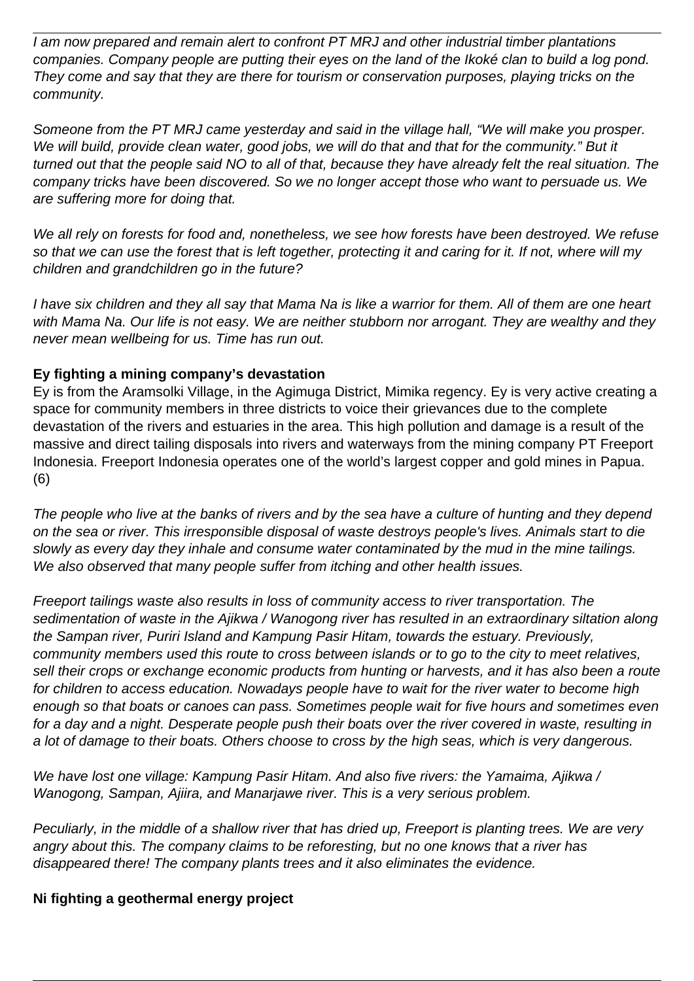I am now prepared and remain alert to confront PT MRJ and other industrial timber plantations companies. Company people are putting their eyes on the land of the Ikoké clan to build a log pond. They come and say that they are there for tourism or conservation purposes, playing tricks on the community.

Someone from the PT MRJ came yesterday and said in the village hall, "We will make you prosper. We will build, provide clean water, good jobs, we will do that and that for the community." But it turned out that the people said NO to all of that, because they have already felt the real situation. The company tricks have been discovered. So we no longer accept those who want to persuade us. We are suffering more for doing that.

We all rely on forests for food and, nonetheless, we see how forests have been destroyed. We refuse so that we can use the forest that is left together, protecting it and caring for it. If not, where will my children and grandchildren go in the future?

I have six children and they all say that Mama Na is like a warrior for them. All of them are one heart with Mama Na. Our life is not easy. We are neither stubborn nor arrogant. They are wealthy and they never mean wellbeing for us. Time has run out.

## **Ey fighting a mining company's devastation**

Ey is from the Aramsolki Village, in the Agimuga District, Mimika regency. Ey is very active creating a space for community members in three districts to voice their grievances due to the complete devastation of the rivers and estuaries in the area. This high pollution and damage is a result of the massive and direct tailing disposals into rivers and waterways from the mining company PT Freeport Indonesia. Freeport Indonesia operates one of the world's largest copper and gold mines in Papua. (6)

The people who live at the banks of rivers and by the sea have a culture of hunting and they depend on the sea or river. This irresponsible disposal of waste destroys people's lives. Animals start to die slowly as every day they inhale and consume water contaminated by the mud in the mine tailings. We also observed that many people suffer from itching and other health issues.

Freeport tailings waste also results in loss of community access to river transportation. The sedimentation of waste in the Ajikwa / Wanogong river has resulted in an extraordinary siltation along the Sampan river, Puriri Island and Kampung Pasir Hitam, towards the estuary. Previously, community members used this route to cross between islands or to go to the city to meet relatives, sell their crops or exchange economic products from hunting or harvests, and it has also been a route for children to access education. Nowadays people have to wait for the river water to become high enough so that boats or canoes can pass. Sometimes people wait for five hours and sometimes even for a day and a night. Desperate people push their boats over the river covered in waste, resulting in a lot of damage to their boats. Others choose to cross by the high seas, which is very dangerous.

We have lost one village: Kampung Pasir Hitam. And also five rivers: the Yamaima, Ajikwa / Wanogong, Sampan, Ajiira, and Manarjawe river. This is a very serious problem.

Peculiarly, in the middle of a shallow river that has dried up, Freeport is planting trees. We are very angry about this. The company claims to be reforesting, but no one knows that a river has disappeared there! The company plants trees and it also eliminates the evidence.

#### **Ni fighting a geothermal energy project**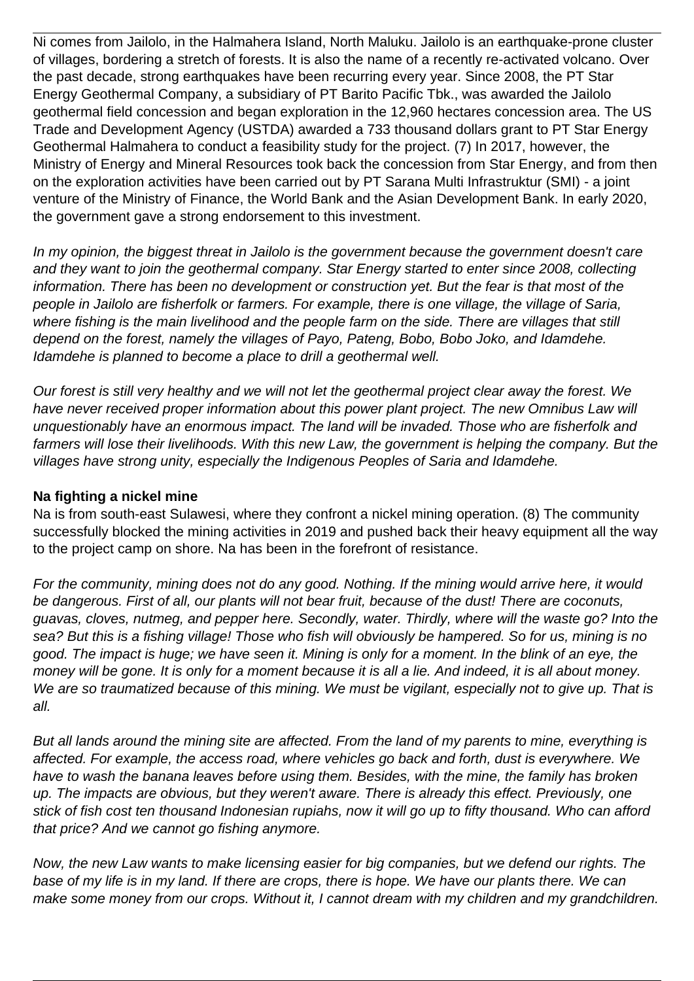Ni comes from Jailolo, in the Halmahera Island, North Maluku. Jailolo is an earthquake-prone cluster of villages, bordering a stretch of forests. It is also the name of a recently re-activated volcano. Over the past decade, strong earthquakes have been recurring every year. Since 2008, the PT Star Energy Geothermal Company, a subsidiary of PT Barito Pacific Tbk., was awarded the Jailolo geothermal field concession and began exploration in the 12,960 hectares concession area. The US Trade and Development Agency (USTDA) awarded a 733 thousand dollars grant to PT Star Energy Geothermal Halmahera to conduct a feasibility study for the project. (7) In 2017, however, the Ministry of Energy and Mineral Resources took back the concession from Star Energy, and from then on the exploration activities have been carried out by PT Sarana Multi Infrastruktur (SMI) - a joint venture of the Ministry of Finance, the World Bank and the Asian Development Bank. In early 2020, the government gave a strong endorsement to this investment.

In my opinion, the biggest threat in Jailolo is the government because the government doesn't care and they want to join the geothermal company. Star Energy started to enter since 2008, collecting information. There has been no development or construction yet. But the fear is that most of the people in Jailolo are fisherfolk or farmers. For example, there is one village, the village of Saria, where fishing is the main livelihood and the people farm on the side. There are villages that still depend on the forest, namely the villages of Payo, Pateng, Bobo, Bobo Joko, and Idamdehe. Idamdehe is planned to become a place to drill a geothermal well.

Our forest is still very healthy and we will not let the geothermal project clear away the forest. We have never received proper information about this power plant project. The new Omnibus Law will unquestionably have an enormous impact. The land will be invaded. Those who are fisherfolk and farmers will lose their livelihoods. With this new Law, the government is helping the company. But the villages have strong unity, especially the Indigenous Peoples of Saria and Idamdehe.

#### **Na fighting a nickel mine**

Na is from south-east Sulawesi, where they confront a nickel mining operation. (8) The community successfully blocked the mining activities in 2019 and pushed back their heavy equipment all the way to the project camp on shore. Na has been in the forefront of resistance.

For the community, mining does not do any good. Nothing. If the mining would arrive here, it would be dangerous. First of all, our plants will not bear fruit, because of the dust! There are coconuts, guavas, cloves, nutmeg, and pepper here. Secondly, water. Thirdly, where will the waste go? Into the sea? But this is a fishing village! Those who fish will obviously be hampered. So for us, mining is no good. The impact is huge; we have seen it. Mining is only for a moment. In the blink of an eye, the money will be gone. It is only for a moment because it is all a lie. And indeed, it is all about money. We are so traumatized because of this mining. We must be vigilant, especially not to give up. That is all.

But all lands around the mining site are affected. From the land of my parents to mine, everything is affected. For example, the access road, where vehicles go back and forth, dust is everywhere. We have to wash the banana leaves before using them. Besides, with the mine, the family has broken up. The impacts are obvious, but they weren't aware. There is already this effect. Previously, one stick of fish cost ten thousand Indonesian rupiahs, now it will go up to fifty thousand. Who can afford that price? And we cannot go fishing anymore.

Now, the new Law wants to make licensing easier for big companies, but we defend our rights. The base of my life is in my land. If there are crops, there is hope. We have our plants there. We can make some money from our crops. Without it, I cannot dream with my children and my grandchildren.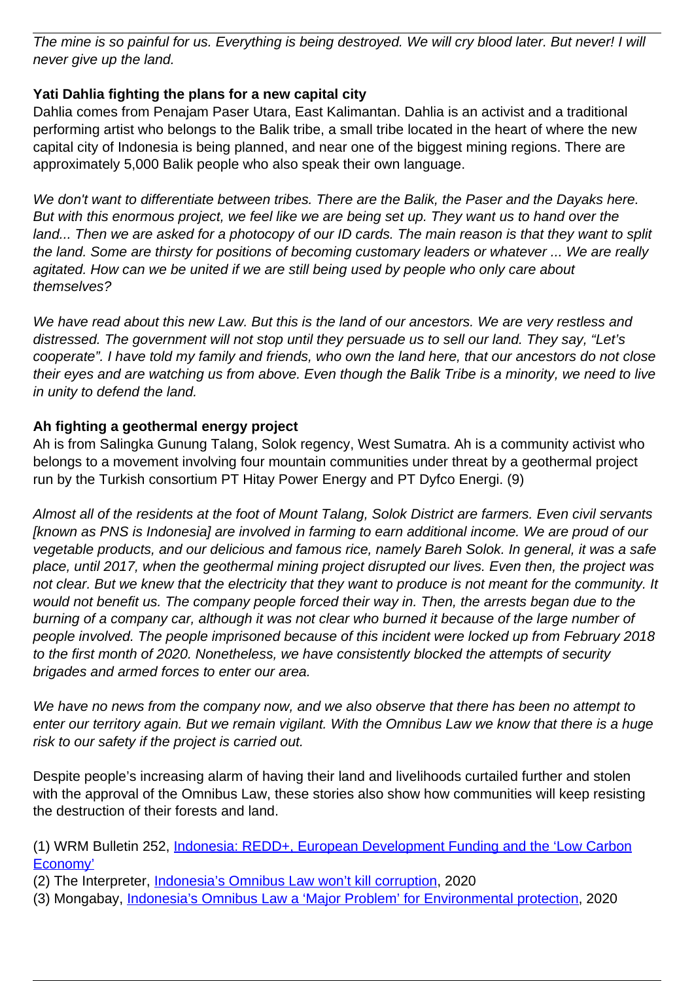The mine is so painful for us. Everything is being destroyed. We will cry blood later. But never! I will never give up the land.

# **Yati Dahlia fighting the plans for a new capital city**

Dahlia comes from Penajam Paser Utara, East Kalimantan. Dahlia is an activist and a traditional performing artist who belongs to the Balik tribe, a small tribe located in the heart of where the new capital city of Indonesia is being planned, and near one of the biggest mining regions. There are approximately 5,000 Balik people who also speak their own language.

We don't want to differentiate between tribes. There are the Balik, the Paser and the Dayaks here. But with this enormous project, we feel like we are being set up. They want us to hand over the land... Then we are asked for a photocopy of our ID cards. The main reason is that they want to split the land. Some are thirsty for positions of becoming customary leaders or whatever ... We are really agitated. How can we be united if we are still being used by people who only care about themselves?

We have read about this new Law. But this is the land of our ancestors. We are very restless and distressed. The government will not stop until they persuade us to sell our land. They say, "Let's cooperate". I have told my family and friends, who own the land here, that our ancestors do not close their eyes and are watching us from above. Even though the Balik Tribe is a minority, we need to live in unity to defend the land.

## **Ah fighting a geothermal energy project**

Ah is from Salingka Gunung Talang, Solok regency, West Sumatra. Ah is a community activist who belongs to a movement involving four mountain communities under threat by a geothermal project run by the Turkish consortium PT Hitay Power Energy and PT Dyfco Energi. (9)

Almost all of the residents at the foot of Mount Talang, Solok District are farmers. Even civil servants [known as PNS is Indonesia] are involved in farming to earn additional income. We are proud of our vegetable products, and our delicious and famous rice, namely Bareh Solok. In general, it was a safe place, until 2017, when the geothermal mining project disrupted our lives. Even then, the project was not clear. But we knew that the electricity that they want to produce is not meant for the community. It would not benefit us. The company people forced their way in. Then, the arrests began due to the burning of a company car, although it was not clear who burned it because of the large number of people involved. The people imprisoned because of this incident were locked up from February 2018 to the first month of 2020. Nonetheless, we have consistently blocked the attempts of security brigades and armed forces to enter our area.

We have no news from the company now, and we also observe that there has been no attempt to enter our territory again. But we remain vigilant. With the Omnibus Law we know that there is a huge risk to our safety if the project is carried out.

Despite people's increasing alarm of having their land and livelihoods curtailed further and stolen with the approval of the Omnibus Law, these stories also show how communities will keep resisting the destruction of their forests and land.

(3) Mongabay, [Indonesia's Omnibus Law a 'Major Problem' for Environmental protection](https://wrm.us9.list-manage.com/track/click?u=f91b651f7fecdf835b57dc11d&id=709c6889a6&e=08ad7e6520), 2020

<sup>(1)</sup> WRM Bulletin 252, [Indonesia: REDD+, European Development Funding and the 'Low Carbon](https://wrm.us9.list-manage.com/track/click?u=f91b651f7fecdf835b57dc11d&id=b59a3dfe0f&e=08ad7e6520) [Economy'](https://wrm.us9.list-manage.com/track/click?u=f91b651f7fecdf835b57dc11d&id=b59a3dfe0f&e=08ad7e6520)

<sup>(2)</sup> The Interpreter, [Indonesia's Omnibus Law won't kill corruption](https://wrm.us9.list-manage.com/track/click?u=f91b651f7fecdf835b57dc11d&id=4424e78a42&e=08ad7e6520), 2020